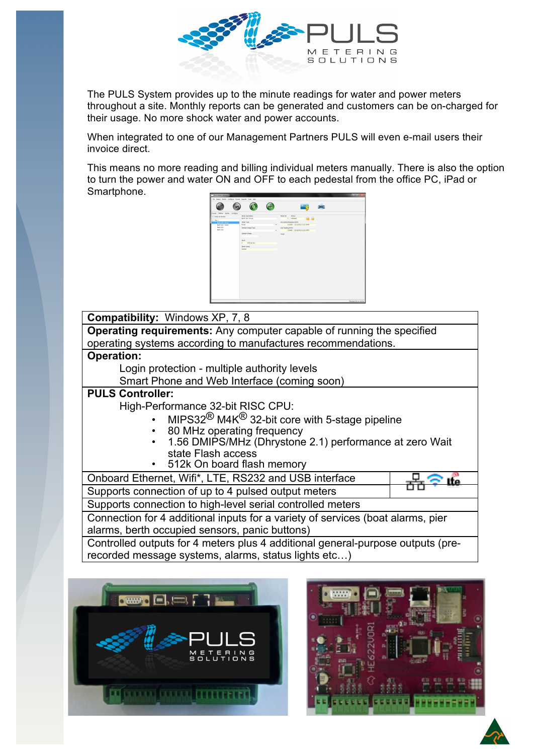

The PULS System provides up to the minute readings for water and power meters throughout a site. Monthly reports can be generated and customers can be on-charged for their usage. No more shock water and power accounts.

When integrated to one of our Management Partners PULS will even e-mail users their invoice direct.

This means no more reading and billing individual meters manually. There is also the option to turn the power and water ON and OFF to each pedestal from the office PC, iPad or Smartphone.



## **Compatibility:** Windows XP, 7, 8

**Operating requirements:** Any computer capable of running the specified operating systems according to manufactures recommendations.

#### **Operation:**

Login protection - multiple authority levels

Smart Phone and Web Interface (coming soon)

## **PULS Controller:**

High-Performance 32-bit RISC CPU:

- MIPS32<sup>®</sup> M4K<sup>®</sup> 32-bit core with 5-stage pipeline
- 80 MHz operating frequency
- 1.56 DMIPS/MHz (Dhrystone 2.1) performance at zero Wait state Flash access
- 512k On board flash memory

| Onboard Ethernet, Wifi*, LTE, RS232 and USB interface                           |  |
|---------------------------------------------------------------------------------|--|
| Supports connection of up to 4 pulsed output meters                             |  |
| Supports connection to high-level serial controlled meters                      |  |
| Connection for 4 additional inputs for a variety of services (boat alarms, pier |  |
| alarms, berth occupied sensors, panic buttons)                                  |  |
| Controlled outputs for 4 meters plus 4 additional general-purpose outputs (pre- |  |
| recorded message systems, alarms, status lights etc)                            |  |